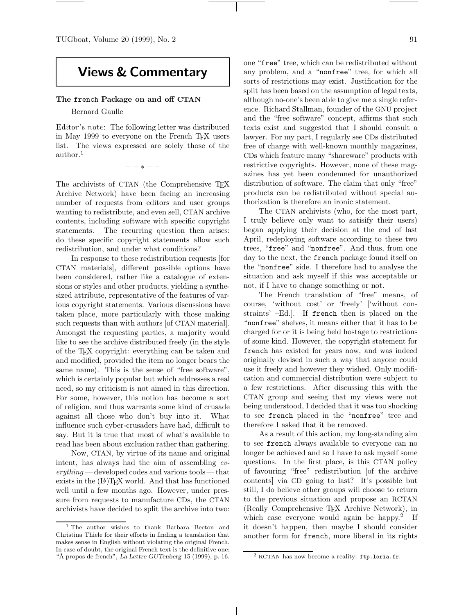## **Views & Commentary**

## **The** french **Package on and off CTAN**

Bernard Gaulle

Editor's note: The following letter was distributed in May 1999 to everyone on the French TFX users list. The views expressed are solely those of the author.<sup>1</sup>

−−∗−−

The archivists of CTAN (the Comprehensive T<sub>EX</sub> Archive Network) have been facing an increasing number of requests from editors and user groups wanting to redistribute, and even sell, CTAN archive contents, including software with specific copyright statements. The recurring question then arises: do these specific copyright statements allow such redistribution, and under what conditions?

In response to these redistribution requests [for CTAN materials], different possible options have been considered, rather like a catalogue of extensions or styles and other products, yielding a synthesized attribute, representative of the features of various copyright statements. Various discussions have taken place, more particularly with those making such requests than with authors [of CTAN material]. Amongst the requesting parties, a majority would like to see the archive distributed freely (in the style of the TEX copyright: everything can be taken and and modified, provided the item no longer bears the same name). This is the sense of "free software", which is certainly popular but which addresses a real need, so my criticism is not aimed in this direction. For some, however, this notion has become a sort of religion, and thus warrants some kind of crusade against all those who don't buy into it. What influence such cyber-crusaders have had, difficult to say. But it is true that most of what's available to read has been about exclusion rather than gathering.

Now, CTAN, by virtue of its name and original intent, has always had the aim of assembling ev $erything$  developed codes and various tools — that exists in the  $(L)$ T<sub>F</sub>X world. And that has functioned well until a few months ago. However, under pressure from requests to manufacture CDs, the CTAN archivists have decided to split the archive into two:

one "free" tree, which can be redistributed without any problem, and a "nonfree" tree, for which all sorts of restrictions may exist. Justification for the split has been based on the assumption of legal texts, although no-one's been able to give me a single reference. Richard Stallman, founder of the GNU project and the "free software" concept, affirms that such texts exist and suggested that I should consult a lawyer. For my part, I regularly see CDs distributed free of charge with well-known monthly magazines, CDs which feature many "shareware" products with restrictive copyrights. However, none of these magazines has yet been condemned for unauthorized distribution of software. The claim that only "free" products can be redistributed without special authorization is therefore an ironic statement.

The CTAN archivists (who, for the most part, I truly believe only want to satisify their users) began applying their decision at the end of last April, redeploying software according to these two trees, "free" and "nonfree". And thus, from one day to the next, the french package found itself on the "nonfree" side. I therefore had to analyse the situation and ask myself if this was acceptable or not, if I have to change something or not.

The French translation of "free" means, of course, 'without cost' or 'freely' ['without constraints' –Ed.]. If french then is placed on the "nonfree" shelves, it means either that it has to be charged for or it is being held hostage to restrictions of some kind. However, the copyright statement for french has existed for years now, and was indeed originally devised in such a way that anyone could use it freely and however they wished. Only modification and commercial distribution were subject to a few restrictions. After discussing this with the CTAN group and seeing that my views were not being understood, I decided that it was too shocking to see french placed in the "nonfree" tree and therefore I asked that it be removed.

As a result of this action, my long-standing aim to see french always available to everyone can no longer be achieved and so I have to ask myself some questions. In the first place, is this CTAN policy of favouring "free" redistribution [of the archive contents] via CD going to last? It's possible but still, I do believe other groups will choose to return to the previous situation and propose an RCTAN (Really Comprehensive TEX Archive Network), in which case everyone would again be happy.<sup>2</sup> If it doesn't happen, then maybe I should consider another form for french, more liberal in its rights

<sup>1</sup> The author wishes to thank Barbara Beeton and Christina Thiele for their efforts in finding a translation that makes sense in English without violating the original French. In case of doubt, the original French text is the definitive one: "À propos de french", *La Lettre GUTenberg* 15 (1999), p. 16.

<sup>2</sup> RCTAN has now become a reality: ftp.loria.fr.